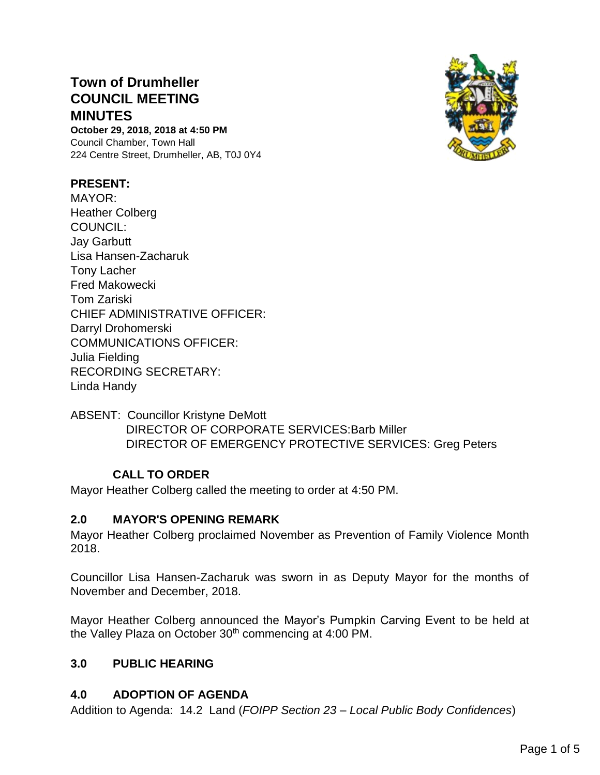# **Town of Drumheller COUNCIL MEETING MINUTES**

**October 29, 2018, 2018 at 4:50 PM** Council Chamber, Town Hall 224 Centre Street, Drumheller, AB, T0J 0Y4

## **PRESENT:**

MAYOR: Heather Colberg COUNCIL: Jay Garbutt Lisa Hansen-Zacharuk Tony Lacher Fred Makowecki Tom Zariski CHIEF ADMINISTRATIVE OFFICER: Darryl Drohomerski COMMUNICATIONS OFFICER: Julia Fielding RECORDING SECRETARY: Linda Handy



ABSENT: Councillor Kristyne DeMott DIRECTOR OF CORPORATE SERVICES:Barb Miller DIRECTOR OF EMERGENCY PROTECTIVE SERVICES: Greg Peters

## **CALL TO ORDER**

Mayor Heather Colberg called the meeting to order at 4:50 PM.

## **2.0 MAYOR'S OPENING REMARK**

Mayor Heather Colberg proclaimed November as Prevention of Family Violence Month 2018.

Councillor Lisa Hansen-Zacharuk was sworn in as Deputy Mayor for the months of November and December, 2018.

Mayor Heather Colberg announced the Mayor's Pumpkin Carving Event to be held at the Valley Plaza on October 30<sup>th</sup> commencing at 4:00 PM.

## **3.0 PUBLIC HEARING**

## **4.0 ADOPTION OF AGENDA**

Addition to Agenda: 14.2 Land (*FOIPP Section 23 – Local Public Body Confidences*)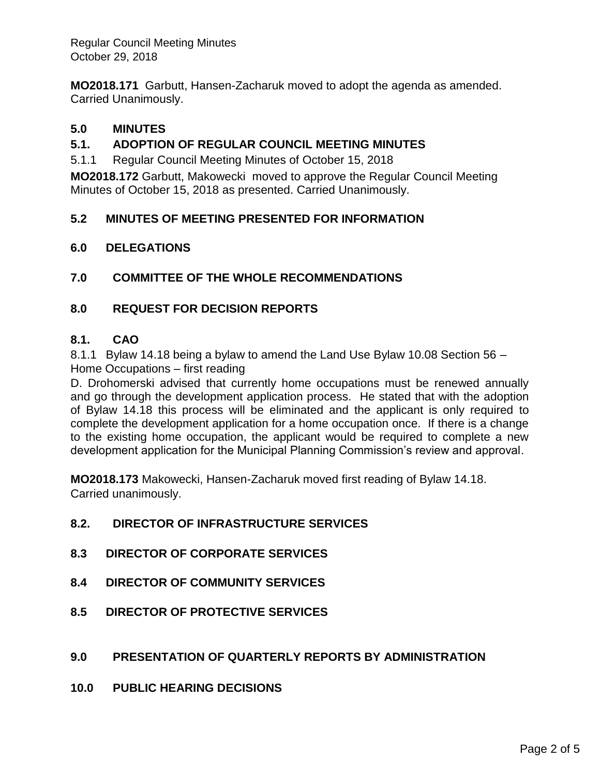Regular Council Meeting Minutes October 29, 2018

**MO2018.171** Garbutt, Hansen-Zacharuk moved to adopt the agenda as amended. Carried Unanimously.

# **5.0 MINUTES**

# **5.1. ADOPTION OF REGULAR COUNCIL MEETING MINUTES**

5.1.1 Regular Council Meeting Minutes of October 15, 2018

**MO2018.172** Garbutt, Makowecki moved to approve the Regular Council Meeting Minutes of October 15, 2018 as presented. Carried Unanimously.

## **5.2 MINUTES OF MEETING PRESENTED FOR INFORMATION**

## **6.0 DELEGATIONS**

**7.0 COMMITTEE OF THE WHOLE RECOMMENDATIONS**

## **8.0 REQUEST FOR DECISION REPORTS**

## **8.1. CAO**

8.1.1 Bylaw 14.18 being a bylaw to amend the Land Use Bylaw 10.08 Section 56 – Home Occupations – first reading

D. Drohomerski advised that currently home occupations must be renewed annually and go through the development application process. He stated that with the adoption of Bylaw 14.18 this process will be eliminated and the applicant is only required to complete the development application for a home occupation once. If there is a change to the existing home occupation, the applicant would be required to complete a new development application for the Municipal Planning Commission's review and approval.

**MO2018.173** Makowecki, Hansen-Zacharuk moved first reading of Bylaw 14.18. Carried unanimously.

# **8.2. DIRECTOR OF INFRASTRUCTURE SERVICES**

- **8.3 DIRECTOR OF CORPORATE SERVICES**
- **8.4 DIRECTOR OF COMMUNITY SERVICES**
- **8.5 DIRECTOR OF PROTECTIVE SERVICES**

## **9.0 PRESENTATION OF QUARTERLY REPORTS BY ADMINISTRATION**

**10.0 PUBLIC HEARING DECISIONS**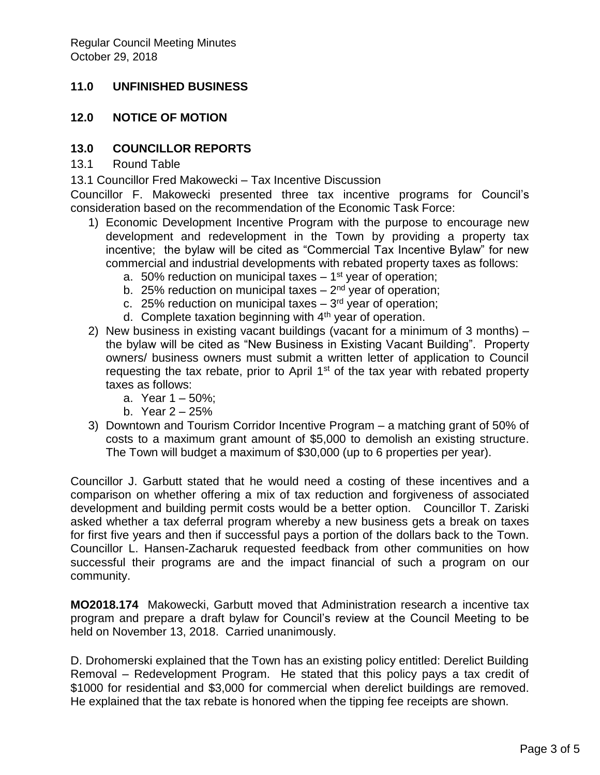# **11.0 UNFINISHED BUSINESS**

## **12.0 NOTICE OF MOTION**

## **13.0 COUNCILLOR REPORTS**

13.1 Round Table

13.1 Councillor Fred Makowecki – Tax Incentive Discussion

Councillor F. Makowecki presented three tax incentive programs for Council's consideration based on the recommendation of the Economic Task Force:

- 1) Economic Development Incentive Program with the purpose to encourage new development and redevelopment in the Town by providing a property tax incentive; the bylaw will be cited as "Commercial Tax Incentive Bylaw" for new commercial and industrial developments with rebated property taxes as follows:
	- a. 50% reduction on municipal taxes 1<sup>st</sup> year of operation;
	- b. 25% reduction on municipal taxes 2<sup>nd</sup> year of operation;
	- c. 25% reduction on municipal taxes 3<sup>rd</sup> year of operation;
	- d. Complete taxation beginning with  $4<sup>th</sup>$  year of operation.
- 2) New business in existing vacant buildings (vacant for a minimum of 3 months) the bylaw will be cited as "New Business in Existing Vacant Building". Property owners/ business owners must submit a written letter of application to Council requesting the tax rebate, prior to April  $1<sup>st</sup>$  of the tax year with rebated property taxes as follows:
	- a. Year 1 50%;
	- b. Year 2 25%
- 3) Downtown and Tourism Corridor Incentive Program a matching grant of 50% of costs to a maximum grant amount of \$5,000 to demolish an existing structure. The Town will budget a maximum of \$30,000 (up to 6 properties per year).

Councillor J. Garbutt stated that he would need a costing of these incentives and a comparison on whether offering a mix of tax reduction and forgiveness of associated development and building permit costs would be a better option. Councillor T. Zariski asked whether a tax deferral program whereby a new business gets a break on taxes for first five years and then if successful pays a portion of the dollars back to the Town. Councillor L. Hansen-Zacharuk requested feedback from other communities on how successful their programs are and the impact financial of such a program on our community.

**MO2018.174** Makowecki, Garbutt moved that Administration research a incentive tax program and prepare a draft bylaw for Council's review at the Council Meeting to be held on November 13, 2018. Carried unanimously.

D. Drohomerski explained that the Town has an existing policy entitled: Derelict Building Removal – Redevelopment Program. He stated that this policy pays a tax credit of \$1000 for residential and \$3,000 for commercial when derelict buildings are removed. He explained that the tax rebate is honored when the tipping fee receipts are shown.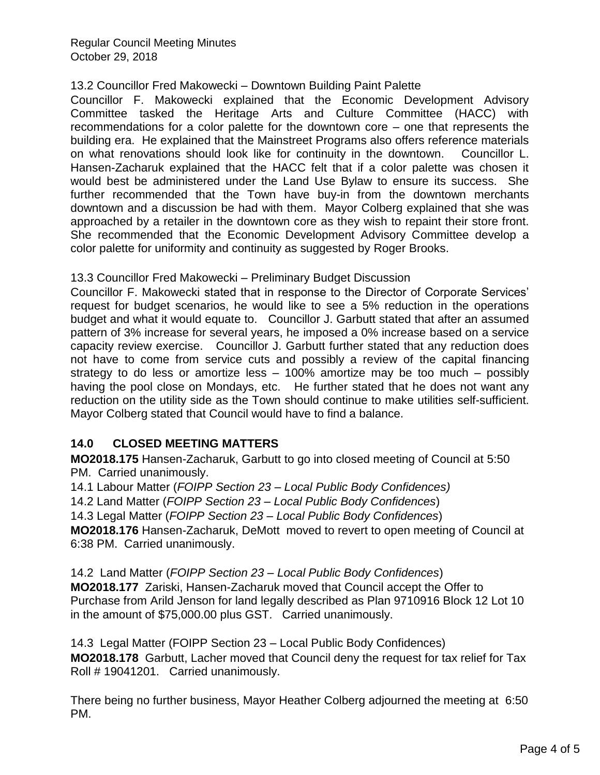Regular Council Meeting Minutes October 29, 2018

## 13.2 Councillor Fred Makowecki – Downtown Building Paint Palette

Councillor F. Makowecki explained that the Economic Development Advisory Committee tasked the Heritage Arts and Culture Committee (HACC) with recommendations for a color palette for the downtown core – one that represents the building era. He explained that the Mainstreet Programs also offers reference materials on what renovations should look like for continuity in the downtown. Councillor L. Hansen-Zacharuk explained that the HACC felt that if a color palette was chosen it would best be administered under the Land Use Bylaw to ensure its success. She further recommended that the Town have buy-in from the downtown merchants downtown and a discussion be had with them. Mayor Colberg explained that she was approached by a retailer in the downtown core as they wish to repaint their store front. She recommended that the Economic Development Advisory Committee develop a color palette for uniformity and continuity as suggested by Roger Brooks.

## 13.3 Councillor Fred Makowecki – Preliminary Budget Discussion

Councillor F. Makowecki stated that in response to the Director of Corporate Services' request for budget scenarios, he would like to see a 5% reduction in the operations budget and what it would equate to. Councillor J. Garbutt stated that after an assumed pattern of 3% increase for several years, he imposed a 0% increase based on a service capacity review exercise. Councillor J. Garbutt further stated that any reduction does not have to come from service cuts and possibly a review of the capital financing strategy to do less or amortize less – 100% amortize may be too much – possibly having the pool close on Mondays, etc. He further stated that he does not want any reduction on the utility side as the Town should continue to make utilities self-sufficient. Mayor Colberg stated that Council would have to find a balance.

# **14.0 CLOSED MEETING MATTERS**

**MO2018.175** Hansen-Zacharuk, Garbutt to go into closed meeting of Council at 5:50 PM. Carried unanimously.

14.1 Labour Matter (*FOIPP Section 23 – Local Public Body Confidences)*

14.2 Land Matter (*FOIPP Section 23 – Local Public Body Confidences*)

14.3 Legal Matter (*FOIPP Section 23 – Local Public Body Confidences*)

**MO2018.176** Hansen-Zacharuk, DeMott moved to revert to open meeting of Council at 6:38 PM. Carried unanimously.

#### 14.2 Land Matter (*FOIPP Section 23 – Local Public Body Confidences*) **MO2018.177** Zariski, Hansen-Zacharuk moved that Council accept the Offer to Purchase from Arild Jenson for land legally described as Plan 9710916 Block 12 Lot 10 in the amount of \$75,000.00 plus GST. Carried unanimously.

14.3 Legal Matter (FOIPP Section 23 – Local Public Body Confidences) **MO2018.178** Garbutt, Lacher moved that Council deny the request for tax relief for Tax Roll # 19041201. Carried unanimously.

There being no further business, Mayor Heather Colberg adjourned the meeting at 6:50 PM.